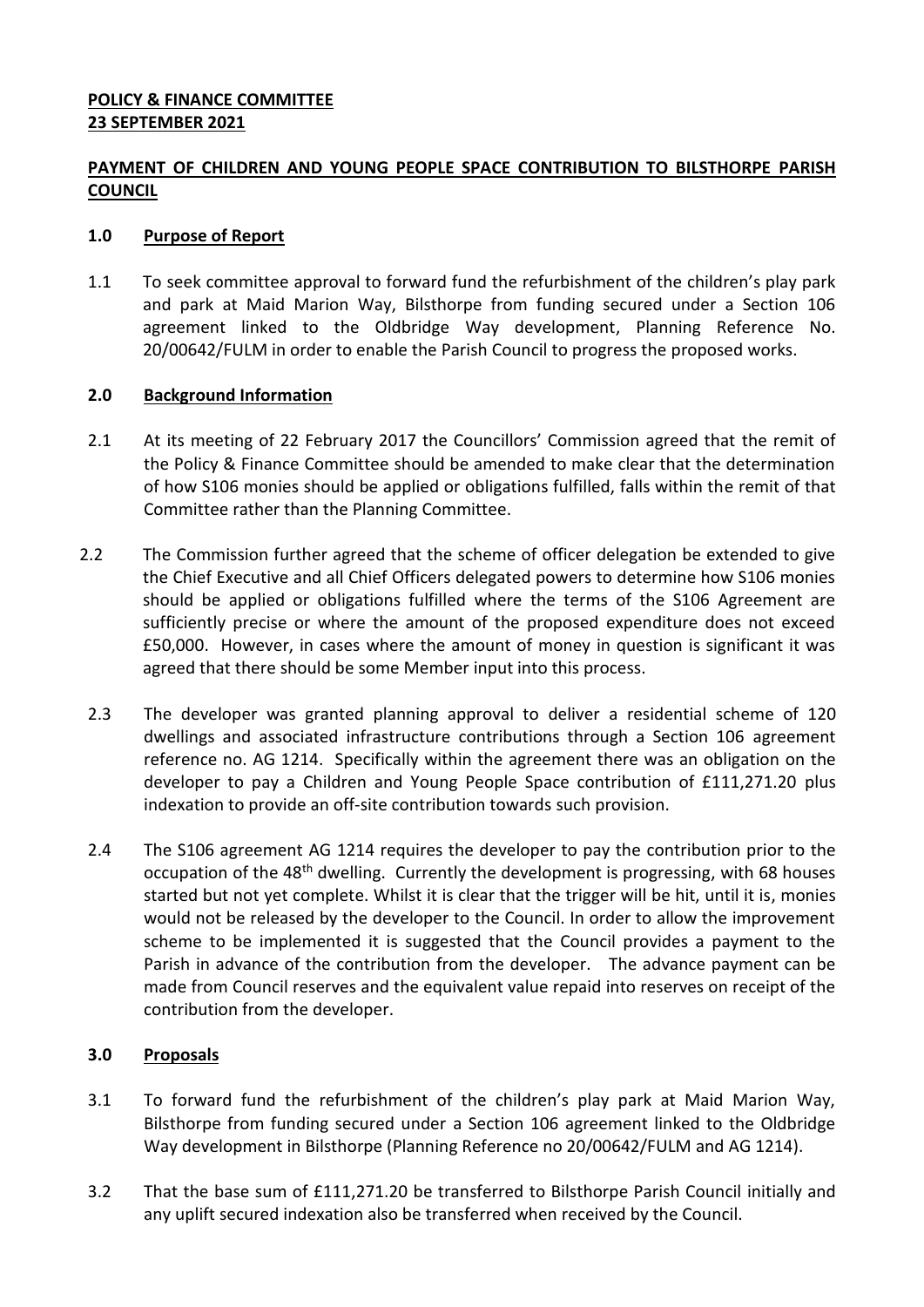# **PAYMENT OF CHILDREN AND YOUNG PEOPLE SPACE CONTRIBUTION TO BILSTHORPE PARISH COUNCIL**

#### **1.0 Purpose of Report**

1.1 To seek committee approval to forward fund the refurbishment of the children's play park and park at Maid Marion Way, Bilsthorpe from funding secured under a Section 106 agreement linked to the Oldbridge Way development, Planning Reference No. 20/00642/FULM in order to enable the Parish Council to progress the proposed works.

#### **2.0 Background Information**

- 2.1 At its meeting of 22 February 2017 the Councillors' Commission agreed that the remit of the Policy & Finance Committee should be amended to make clear that the determination of how S106 monies should be applied or obligations fulfilled, falls within the remit of that Committee rather than the Planning Committee.
- 2.2 The Commission further agreed that the scheme of officer delegation be extended to give the Chief Executive and all Chief Officers delegated powers to determine how S106 monies should be applied or obligations fulfilled where the terms of the S106 Agreement are sufficiently precise or where the amount of the proposed expenditure does not exceed £50,000. However, in cases where the amount of money in question is significant it was agreed that there should be some Member input into this process.
- 2.3 The developer was granted planning approval to deliver a residential scheme of 120 dwellings and associated infrastructure contributions through a Section 106 agreement reference no. AG 1214. Specifically within the agreement there was an obligation on the developer to pay a Children and Young People Space contribution of £111,271.20 plus indexation to provide an off-site contribution towards such provision.
- 2.4 The S106 agreement AG 1214 requires the developer to pay the contribution prior to the occupation of the 48<sup>th</sup> dwelling. Currently the development is progressing, with 68 houses started but not yet complete. Whilst it is clear that the trigger will be hit, until it is, monies would not be released by the developer to the Council. In order to allow the improvement scheme to be implemented it is suggested that the Council provides a payment to the Parish in advance of the contribution from the developer. The advance payment can be made from Council reserves and the equivalent value repaid into reserves on receipt of the contribution from the developer.

## **3.0 Proposals**

- 3.1 To forward fund the refurbishment of the children's play park at Maid Marion Way, Bilsthorpe from funding secured under a Section 106 agreement linked to the Oldbridge Way development in Bilsthorpe (Planning Reference no 20/00642/FULM and AG 1214).
- 3.2 That the base sum of £111,271.20 be transferred to Bilsthorpe Parish Council initially and any uplift secured indexation also be transferred when received by the Council.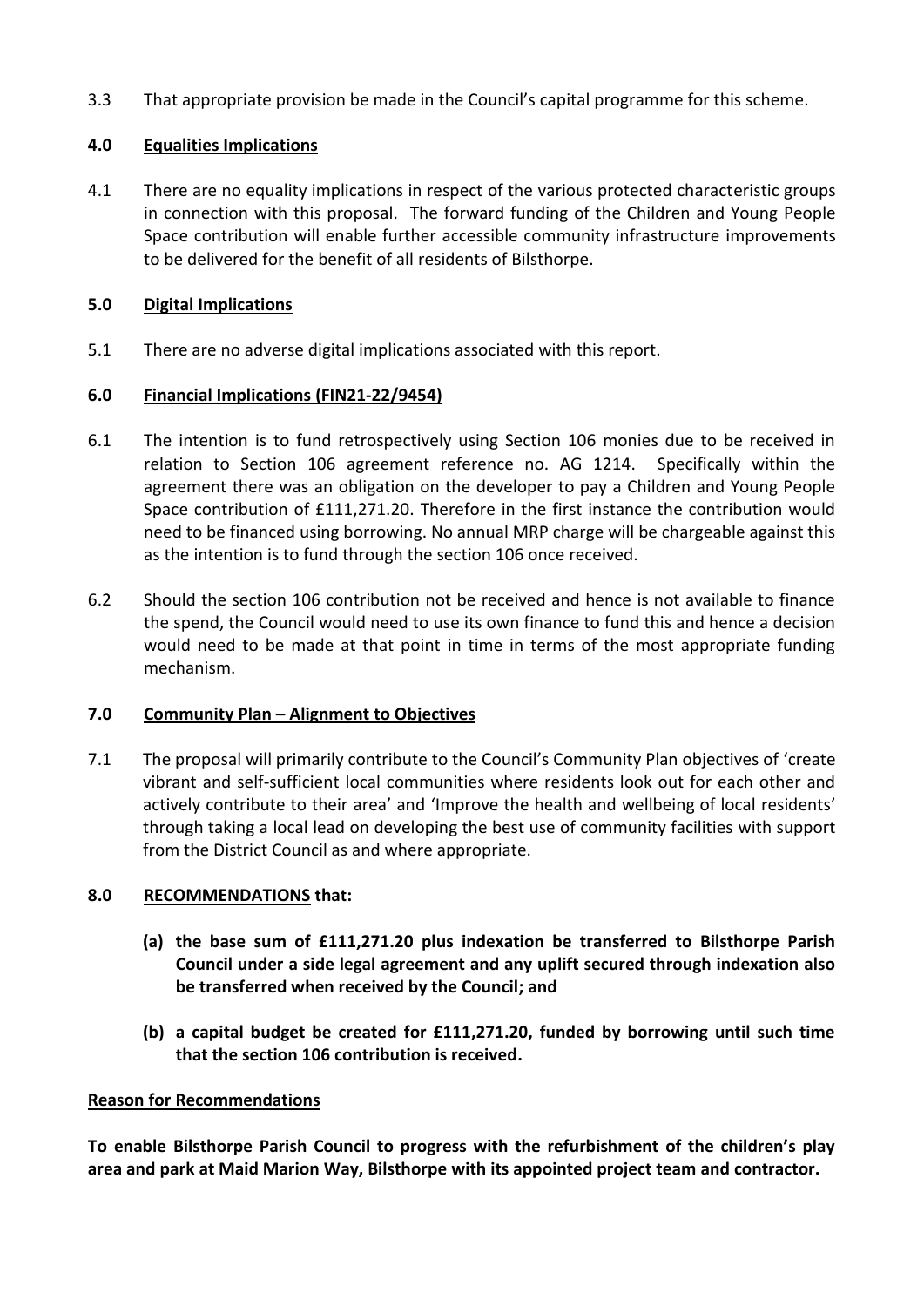3.3 That appropriate provision be made in the Council's capital programme for this scheme.

# **4.0 Equalities Implications**

4.1 There are no equality implications in respect of the various protected characteristic groups in connection with this proposal. The forward funding of the Children and Young People Space contribution will enable further accessible community infrastructure improvements to be delivered for the benefit of all residents of Bilsthorpe.

## **5.0 Digital Implications**

5.1 There are no adverse digital implications associated with this report.

## **6.0 Financial Implications (FIN21-22/9454)**

- 6.1 The intention is to fund retrospectively using Section 106 monies due to be received in relation to Section 106 agreement reference no. AG 1214. Specifically within the agreement there was an obligation on the developer to pay a Children and Young People Space contribution of £111,271.20. Therefore in the first instance the contribution would need to be financed using borrowing. No annual MRP charge will be chargeable against this as the intention is to fund through the section 106 once received.
- 6.2 Should the section 106 contribution not be received and hence is not available to finance the spend, the Council would need to use its own finance to fund this and hence a decision would need to be made at that point in time in terms of the most appropriate funding mechanism.

## **7.0 Community Plan – Alignment to Objectives**

7.1 The proposal will primarily contribute to the Council's Community Plan objectives of 'create vibrant and self-sufficient local communities where residents look out for each other and actively contribute to their area' and 'Improve the health and wellbeing of local residents' through taking a local lead on developing the best use of community facilities with support from the District Council as and where appropriate.

## **8.0 RECOMMENDATIONS that:**

- **(a) the base sum of £111,271.20 plus indexation be transferred to Bilsthorpe Parish Council under a side legal agreement and any uplift secured through indexation also be transferred when received by the Council; and**
- **(b) a capital budget be created for £111,271.20, funded by borrowing until such time that the section 106 contribution is received.**

#### **Reason for Recommendations**

**To enable Bilsthorpe Parish Council to progress with the refurbishment of the children's play area and park at Maid Marion Way, Bilsthorpe with its appointed project team and contractor.**